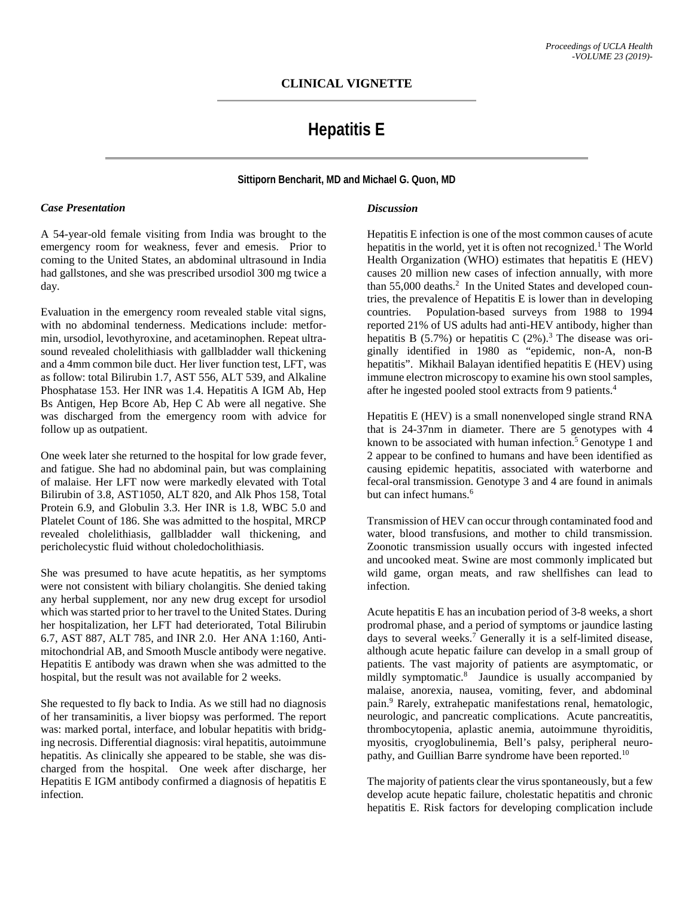# **Hepatitis E**

**Sittiporn Bencharit, MD and Michael G. Quon, MD**

### *Case Presentation*

A 54-year-old female visiting from India was brought to the emergency room for weakness, fever and emesis. Prior to coming to the United States, an abdominal ultrasound in India had gallstones, and she was prescribed ursodiol 300 mg twice a day.

Evaluation in the emergency room revealed stable vital signs, with no abdominal tenderness. Medications include: metformin, ursodiol, levothyroxine, and acetaminophen. Repeat ultrasound revealed cholelithiasis with gallbladder wall thickening and a 4mm common bile duct. Her liver function test, LFT, was as follow: total Bilirubin 1.7, AST 556, ALT 539, and Alkaline Phosphatase 153. Her INR was 1.4. Hepatitis A IGM Ab, Hep Bs Antigen, Hep Bcore Ab, Hep C Ab were all negative. She was discharged from the emergency room with advice for follow up as outpatient.

One week later she returned to the hospital for low grade fever, and fatigue. She had no abdominal pain, but was complaining of malaise. Her LFT now were markedly elevated with Total Bilirubin of 3.8, AST1050, ALT 820, and Alk Phos 158, Total Protein 6.9, and Globulin 3.3. Her INR is 1.8, WBC 5.0 and Platelet Count of 186. She was admitted to the hospital, MRCP revealed cholelithiasis, gallbladder wall thickening, and pericholecystic fluid without choledocholithiasis.

She was presumed to have acute hepatitis, as her symptoms were not consistent with biliary cholangitis. She denied taking any herbal supplement, nor any new drug except for ursodiol which was started prior to her travel to the United States. During her hospitalization, her LFT had deteriorated, Total Bilirubin 6.7, AST 887, ALT 785, and INR 2.0. Her ANA 1:160, Antimitochondrial AB, and Smooth Muscle antibody were negative. Hepatitis E antibody was drawn when she was admitted to the hospital, but the result was not available for 2 weeks.

She requested to fly back to India. As we still had no diagnosis of her transaminitis, a liver biopsy was performed. The report was: marked portal, interface, and lobular hepatitis with bridging necrosis. Differential diagnosis: viral hepatitis, autoimmune hepatitis. As clinically she appeared to be stable, she was discharged from the hospital. One week after discharge, her Hepatitis E IGM antibody confirmed a diagnosis of hepatitis E infection.

## *Discussion*

Hepatitis E infection is one of the most common causes of acute hepatitis in the world, yet it is often not recognized.<sup>1</sup> The World Health Organization (WHO) estimates that hepatitis E (HEV) causes 20 million new cases of infection annually, with more than 55,000 deaths.<sup>2</sup> In the United States and developed countries, the prevalence of Hepatitis E is lower than in developing countries. Population-based surveys from 1988 to 1994 reported 21% of US adults had anti-HEV antibody, higher than hepatitis B  $(5.7%)$  or hepatitis C  $(2%)$ .<sup>3</sup> The disease was originally identified in 1980 as "epidemic, non-A, non-B hepatitis". Mikhail Balayan identified hepatitis E (HEV) using immune electron microscopy to examine his own stool samples, after he ingested pooled stool extracts from 9 patients. 4

Hepatitis E (HEV) is a small nonenveloped single strand RNA that is 24-37nm in diameter. There are 5 genotypes with 4 known to be associated with human infection.<sup>5</sup> Genotype 1 and 2 appear to be confined to humans and have been identified as causing epidemic hepatitis, associated with waterborne and fecal-oral transmission. Genotype 3 and 4 are found in animals but can infect humans.<sup>6</sup>

Transmission of HEV can occur through contaminated food and water, blood transfusions, and mother to child transmission. Zoonotic transmission usually occurs with ingested infected and uncooked meat. Swine are most commonly implicated but wild game, organ meats, and raw shellfishes can lead to infection.

Acute hepatitis E has an incubation period of 3-8 weeks, a short prodromal phase, and a period of symptoms or jaundice lasting days to several weeks.<sup>7</sup> Generally it is a self-limited disease, although acute hepatic failure can develop in a small group of patients. The vast majority of patients are asymptomatic, or mildly symptomatic. <sup>8</sup> Jaundice is usually accompanied by malaise, anorexia, nausea, vomiting, fever, and abdominal pain. <sup>9</sup> Rarely, extrahepatic manifestations renal, hematologic, neurologic, and pancreatic complications. Acute pancreatitis, thrombocytopenia, aplastic anemia, autoimmune thyroiditis, myositis, cryoglobulinemia, Bell's palsy, peripheral neuropathy, and Guillian Barre syndrome have been reported.<sup>10</sup>

The majority of patients clear the virus spontaneously, but a few develop acute hepatic failure, cholestatic hepatitis and chronic hepatitis E. Risk factors for developing complication include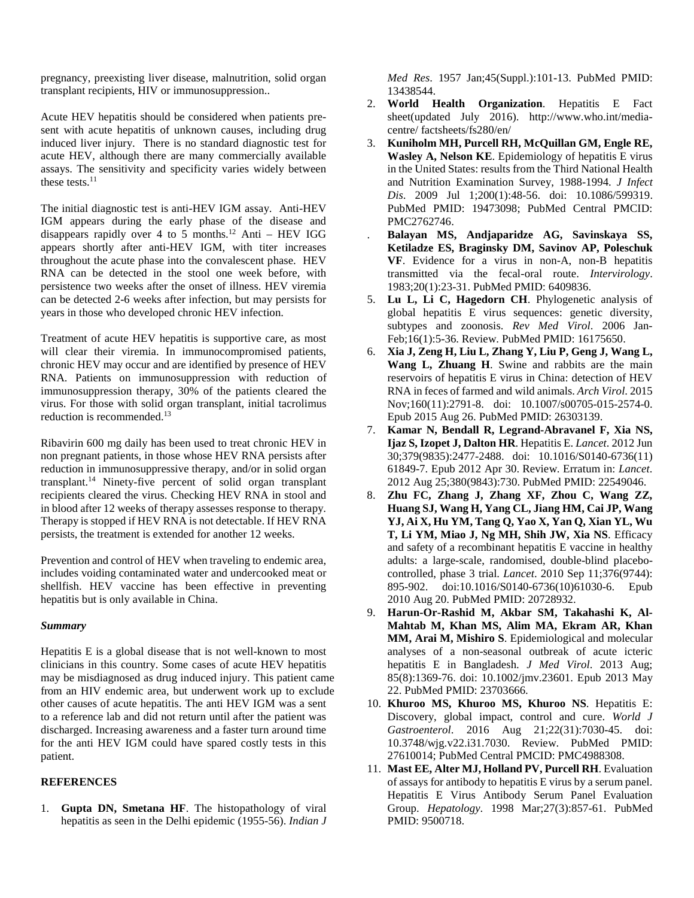pregnancy, preexisting liver disease, malnutrition, solid organ transplant recipients, HIV or immunosuppression..

Acute HEV hepatitis should be considered when patients present with acute hepatitis of unknown causes, including drug induced liver injury. There is no standard diagnostic test for acute HEV, although there are many commercially available assays. The sensitivity and specificity varies widely between these tests.<sup>11</sup>

The initial diagnostic test is anti-HEV IGM assay. Anti-HEV IGM appears during the early phase of the disease and disappears rapidly over 4 to 5 months. <sup>12</sup> Anti – HEV IGG appears shortly after anti-HEV IGM, with titer increases throughout the acute phase into the convalescent phase. HEV RNA can be detected in the stool one week before, with persistence two weeks after the onset of illness. HEV viremia can be detected 2-6 weeks after infection, but may persists for years in those who developed chronic HEV infection.

Treatment of acute HEV hepatitis is supportive care, as most will clear their viremia. In immunocompromised patients, chronic HEV may occur and are identified by presence of HEV RNA. Patients on immunosuppression with reduction of immunosuppression therapy, 30% of the patients cleared the virus. For those with solid organ transplant, initial tacrolimus reduction is recommended.<sup>13</sup>

Ribavirin 600 mg daily has been used to treat chronic HEV in non pregnant patients, in those whose HEV RNA persists after reduction in immunosuppressive therapy, and/or in solid organ transplant. <sup>14</sup> Ninety-five percent of solid organ transplant recipients cleared the virus. Checking HEV RNA in stool and in blood after 12 weeks of therapy assesses response to therapy. Therapy is stopped if HEV RNA is not detectable. If HEV RNA persists, the treatment is extended for another 12 weeks.

Prevention and control of HEV when traveling to endemic area, includes voiding contaminated water and undercooked meat or shellfish. HEV vaccine has been effective in preventing hepatitis but is only available in China.

### *Summary*

Hepatitis E is a global disease that is not well-known to most clinicians in this country. Some cases of acute HEV hepatitis may be misdiagnosed as drug induced injury. This patient came from an HIV endemic area, but underwent work up to exclude other causes of acute hepatitis. The anti HEV IGM was a sent to a reference lab and did not return until after the patient was discharged. Increasing awareness and a faster turn around time for the anti HEV IGM could have spared costly tests in this patient.

# **REFERENCES**

1. **Gupta DN, Smetana HF**. The histopathology of viral hepatitis as seen in the Delhi epidemic (1955-56). *Indian J* *Med Res*. 1957 Jan;45(Suppl.):101-13. PubMed PMID: 13438544.

- 2. **World Health Organization**. Hepatitis E Fact sheet(updated July 2016). http://www.who.int/mediacentre/ factsheets/fs280/en/
- 3. **Kuniholm MH, Purcell RH, McQuillan GM, Engle RE, Wasley A, Nelson KE**. Epidemiology of hepatitis E virus in the United States: results from the Third National Health and Nutrition Examination Survey, 1988-1994. *J Infect Dis*. 2009 Jul 1;200(1):48-56. doi: 10.1086/599319. PubMed PMID: 19473098; PubMed Central PMCID: PMC2762746.
- . **Balayan MS, Andjaparidze AG, Savinskaya SS, Ketiladze ES, Braginsky DM, Savinov AP, Poleschuk VF**. Evidence for a virus in non-A, non-B hepatitis transmitted via the fecal-oral route. *Intervirology*. 1983;20(1):23-31. PubMed PMID: 6409836.
- 5. **Lu L, Li C, Hagedorn CH**. Phylogenetic analysis of global hepatitis E virus sequences: genetic diversity, subtypes and zoonosis. *Rev Med Virol*. 2006 Jan-Feb;16(1):5-36. Review. PubMed PMID: 16175650.
- 6. **Xia J, Zeng H, Liu L, Zhang Y, Liu P, Geng J, Wang L, Wang L, Zhuang H**. Swine and rabbits are the main reservoirs of hepatitis E virus in China: detection of HEV RNA in feces of farmed and wild animals. *Arch Virol*. 2015 Nov;160(11):2791-8. doi: 10.1007/s00705-015-2574-0. Epub 2015 Aug 26. PubMed PMID: 26303139.
- 7. **Kamar N, Bendall R, Legrand-Abravanel F, Xia NS, Ijaz S, Izopet J, Dalton HR**. Hepatitis E. *Lancet*. 2012 Jun 30;379(9835):2477-2488. doi: 10.1016/S0140-6736(11) 61849-7. Epub 2012 Apr 30. Review. Erratum in: *Lancet*. 2012 Aug 25;380(9843):730. PubMed PMID: 22549046.
- 8. **Zhu FC, Zhang J, Zhang XF, Zhou C, Wang ZZ, Huang SJ, Wang H, Yang CL, Jiang HM, Cai JP, Wang YJ, Ai X, Hu YM, Tang Q, Yao X, Yan Q, Xian YL, Wu T, Li YM, Miao J, Ng MH, Shih JW, Xia NS**. Efficacy and safety of a recombinant hepatitis E vaccine in healthy adults: a large-scale, randomised, double-blind placebocontrolled, phase 3 trial. *Lancet*. 2010 Sep 11;376(9744): 895-902. doi:10.1016/S0140-6736(10)61030-6. Epub 2010 Aug 20. PubMed PMID: 20728932.
- 9. **Harun-Or-Rashid M, Akbar SM, Takahashi K, Al-Mahtab M, Khan MS, Alim MA, Ekram AR, Khan MM, Arai M, Mishiro S**. Epidemiological and molecular analyses of a non-seasonal outbreak of acute icteric hepatitis E in Bangladesh. *J Med Virol*. 2013 Aug; 85(8):1369-76. doi: 10.1002/jmv.23601. Epub 2013 May 22. PubMed PMID: 23703666.
- 10. **Khuroo MS, Khuroo MS, Khuroo NS**. Hepatitis E: Discovery, global impact, control and cure. *World J Gastroenterol*. 2016 Aug 21;22(31):7030-45. doi: 10.3748/wjg.v22.i31.7030. Review. PubMed PMID: 27610014; PubMed Central PMCID: PMC4988308.
- 11. **Mast EE, Alter MJ, Holland PV, Purcell RH**. Evaluation of assays for antibody to hepatitis E virus by a serum panel. Hepatitis E Virus Antibody Serum Panel Evaluation Group. *Hepatology*. 1998 Mar;27(3):857-61. PubMed PMID: 9500718.